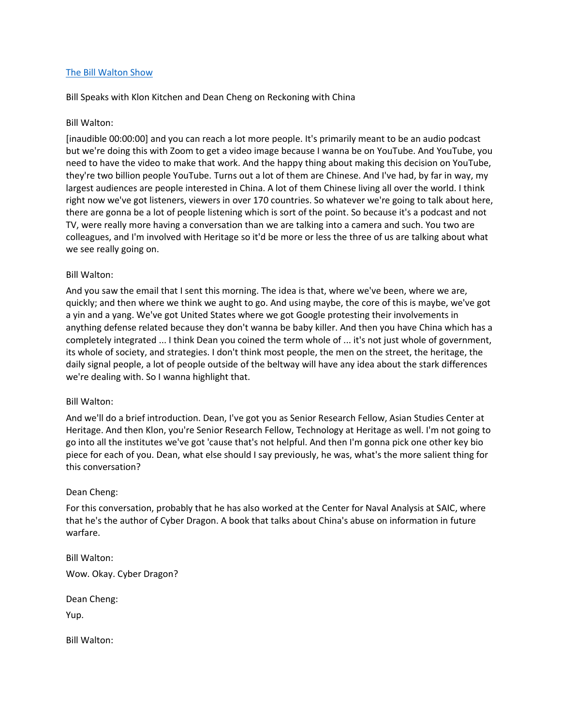### [The Bill Walton Show](https://thebillwaltonshow.com/)

Bill Speaks with Klon Kitchen and Dean Cheng on Reckoning with China

#### Bill Walton:

[inaudible 00:00:00] and you can reach a lot more people. It's primarily meant to be an audio podcast but we're doing this with Zoom to get a video image because I wanna be on YouTube. And YouTube, you need to have the video to make that work. And the happy thing about making this decision on YouTube, they're two billion people YouTube. Turns out a lot of them are Chinese. And I've had, by far in way, my largest audiences are people interested in China. A lot of them Chinese living all over the world. I think right now we've got listeners, viewers in over 170 countries. So whatever we're going to talk about here, there are gonna be a lot of people listening which is sort of the point. So because it's a podcast and not TV, were really more having a conversation than we are talking into a camera and such. You two are colleagues, and I'm involved with Heritage so it'd be more or less the three of us are talking about what we see really going on.

### Bill Walton:

And you saw the email that I sent this morning. The idea is that, where we've been, where we are, quickly; and then where we think we aught to go. And using maybe, the core of this is maybe, we've got a yin and a yang. We've got United States where we got Google protesting their involvements in anything defense related because they don't wanna be baby killer. And then you have China which has a completely integrated ... I think Dean you coined the term whole of ... it's not just whole of government, its whole of society, and strategies. I don't think most people, the men on the street, the heritage, the daily signal people, a lot of people outside of the beltway will have any idea about the stark differences we're dealing with. So I wanna highlight that.

#### Bill Walton:

And we'll do a brief introduction. Dean, I've got you as Senior Research Fellow, Asian Studies Center at Heritage. And then Klon, you're Senior Research Fellow, Technology at Heritage as well. I'm not going to go into all the institutes we've got 'cause that's not helpful. And then I'm gonna pick one other key bio piece for each of you. Dean, what else should I say previously, he was, what's the more salient thing for this conversation?

#### Dean Cheng:

For this conversation, probably that he has also worked at the Center for Naval Analysis at SAIC, where that he's the author of Cyber Dragon. A book that talks about China's abuse on information in future warfare.

Bill Walton:

Wow. Okay. Cyber Dragon?

Dean Cheng:

Yup.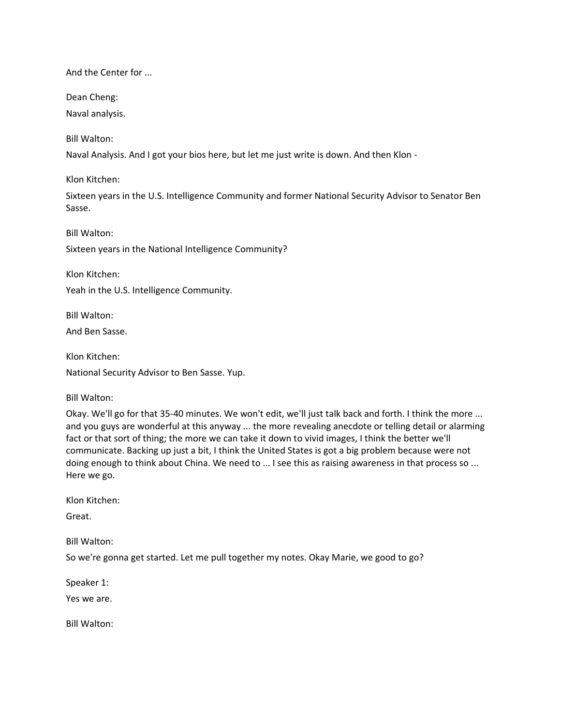And the Center for ...

Dean Cheng:

Naval analysis.

Bill Walton:

Naval Analysis. And I got your bios here, but let me just write is down. And then Klon -

Klon Kitchen:

Sixteen years in the U.S. Intelligence Community and former National Security Advisor to Senator Ben Sasse.

Bill Walton: Sixteen years in the National Intelligence Community?

Klon Kitchen:

Yeah in the U.S. Intelligence Community.

Bill Walton:

And Ben Sasse.

Klon Kitchen: National Security Advisor to Ben Sasse. Yup.

Bill Walton:

Okay. We'll go for that 35-40 minutes. We won't edit, we'll just talk back and forth. I think the more ... and you guys are wonderful at this anyway ... the more revealing anecdote or telling detail or alarming fact or that sort of thing; the more we can take it down to vivid images, I think the better we'll communicate. Backing up just a bit, I think the United States is got a big problem because were not doing enough to think about China. We need to ... I see this as raising awareness in that process so ... Here we go.

Klon Kitchen:

Great.

Bill Walton:

So we're gonna get started. Let me pull together my notes. Okay Marie, we good to go?

Speaker 1:

Yes we are.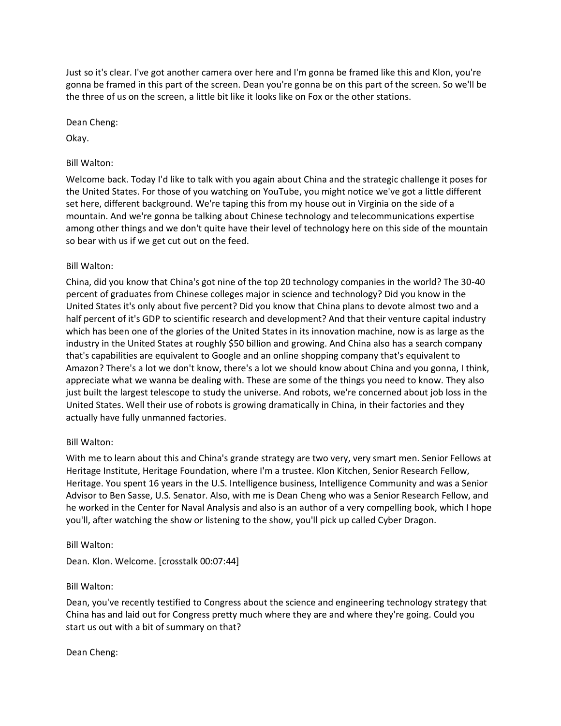Just so it's clear. I've got another camera over here and I'm gonna be framed like this and Klon, you're gonna be framed in this part of the screen. Dean you're gonna be on this part of the screen. So we'll be the three of us on the screen, a little bit like it looks like on Fox or the other stations.

Dean Cheng:

Okay.

## Bill Walton:

Welcome back. Today I'd like to talk with you again about China and the strategic challenge it poses for the United States. For those of you watching on YouTube, you might notice we've got a little different set here, different background. We're taping this from my house out in Virginia on the side of a mountain. And we're gonna be talking about Chinese technology and telecommunications expertise among other things and we don't quite have their level of technology here on this side of the mountain so bear with us if we get cut out on the feed.

# Bill Walton:

China, did you know that China's got nine of the top 20 technology companies in the world? The 30-40 percent of graduates from Chinese colleges major in science and technology? Did you know in the United States it's only about five percent? Did you know that China plans to devote almost two and a half percent of it's GDP to scientific research and development? And that their venture capital industry which has been one of the glories of the United States in its innovation machine, now is as large as the industry in the United States at roughly \$50 billion and growing. And China also has a search company that's capabilities are equivalent to Google and an online shopping company that's equivalent to Amazon? There's a lot we don't know, there's a lot we should know about China and you gonna, I think, appreciate what we wanna be dealing with. These are some of the things you need to know. They also just built the largest telescope to study the universe. And robots, we're concerned about job loss in the United States. Well their use of robots is growing dramatically in China, in their factories and they actually have fully unmanned factories.

## Bill Walton:

With me to learn about this and China's grande strategy are two very, very smart men. Senior Fellows at Heritage Institute, Heritage Foundation, where I'm a trustee. Klon Kitchen, Senior Research Fellow, Heritage. You spent 16 years in the U.S. Intelligence business, Intelligence Community and was a Senior Advisor to Ben Sasse, U.S. Senator. Also, with me is Dean Cheng who was a Senior Research Fellow, and he worked in the Center for Naval Analysis and also is an author of a very compelling book, which I hope you'll, after watching the show or listening to the show, you'll pick up called Cyber Dragon.

## Bill Walton:

Dean. Klon. Welcome. [crosstalk 00:07:44]

## Bill Walton:

Dean, you've recently testified to Congress about the science and engineering technology strategy that China has and laid out for Congress pretty much where they are and where they're going. Could you start us out with a bit of summary on that?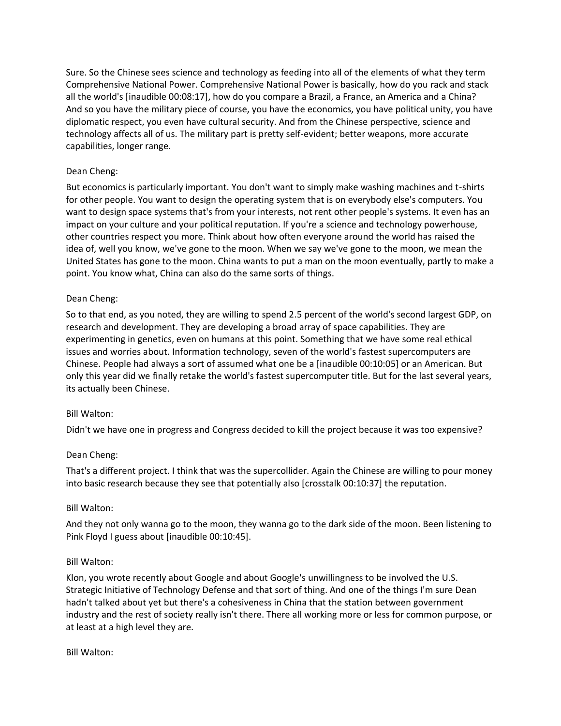Sure. So the Chinese sees science and technology as feeding into all of the elements of what they term Comprehensive National Power. Comprehensive National Power is basically, how do you rack and stack all the world's [inaudible 00:08:17], how do you compare a Brazil, a France, an America and a China? And so you have the military piece of course, you have the economics, you have political unity, you have diplomatic respect, you even have cultural security. And from the Chinese perspective, science and technology affects all of us. The military part is pretty self-evident; better weapons, more accurate capabilities, longer range.

## Dean Cheng:

But economics is particularly important. You don't want to simply make washing machines and t-shirts for other people. You want to design the operating system that is on everybody else's computers. You want to design space systems that's from your interests, not rent other people's systems. It even has an impact on your culture and your political reputation. If you're a science and technology powerhouse, other countries respect you more. Think about how often everyone around the world has raised the idea of, well you know, we've gone to the moon. When we say we've gone to the moon, we mean the United States has gone to the moon. China wants to put a man on the moon eventually, partly to make a point. You know what, China can also do the same sorts of things.

## Dean Cheng:

So to that end, as you noted, they are willing to spend 2.5 percent of the world's second largest GDP, on research and development. They are developing a broad array of space capabilities. They are experimenting in genetics, even on humans at this point. Something that we have some real ethical issues and worries about. Information technology, seven of the world's fastest supercomputers are Chinese. People had always a sort of assumed what one be a [inaudible 00:10:05] or an American. But only this year did we finally retake the world's fastest supercomputer title. But for the last several years, its actually been Chinese.

## Bill Walton:

Didn't we have one in progress and Congress decided to kill the project because it was too expensive?

## Dean Cheng:

That's a different project. I think that was the supercollider. Again the Chinese are willing to pour money into basic research because they see that potentially also [crosstalk 00:10:37] the reputation.

#### Bill Walton:

And they not only wanna go to the moon, they wanna go to the dark side of the moon. Been listening to Pink Floyd I guess about [inaudible 00:10:45].

#### Bill Walton:

Klon, you wrote recently about Google and about Google's unwillingness to be involved the U.S. Strategic Initiative of Technology Defense and that sort of thing. And one of the things I'm sure Dean hadn't talked about yet but there's a cohesiveness in China that the station between government industry and the rest of society really isn't there. There all working more or less for common purpose, or at least at a high level they are.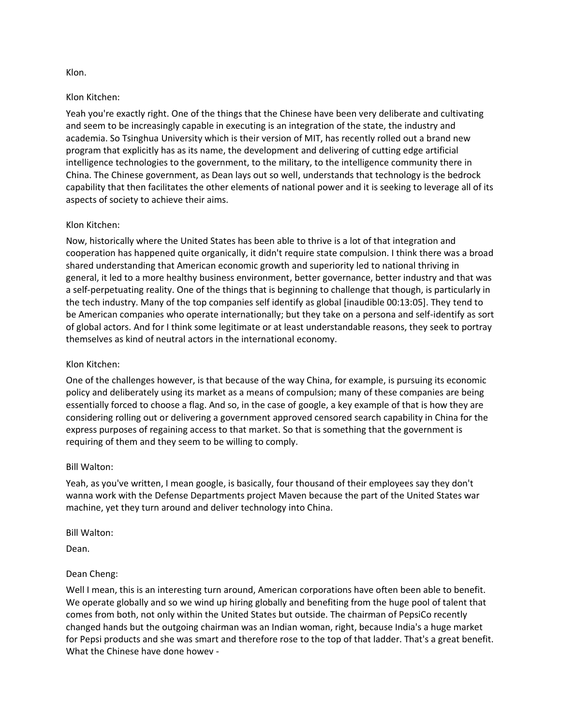### Klon.

### Klon Kitchen:

Yeah you're exactly right. One of the things that the Chinese have been very deliberate and cultivating and seem to be increasingly capable in executing is an integration of the state, the industry and academia. So Tsinghua University which is their version of MIT, has recently rolled out a brand new program that explicitly has as its name, the development and delivering of cutting edge artificial intelligence technologies to the government, to the military, to the intelligence community there in China. The Chinese government, as Dean lays out so well, understands that technology is the bedrock capability that then facilitates the other elements of national power and it is seeking to leverage all of its aspects of society to achieve their aims.

## Klon Kitchen:

Now, historically where the United States has been able to thrive is a lot of that integration and cooperation has happened quite organically, it didn't require state compulsion. I think there was a broad shared understanding that American economic growth and superiority led to national thriving in general, it led to a more healthy business environment, better governance, better industry and that was a self-perpetuating reality. One of the things that is beginning to challenge that though, is particularly in the tech industry. Many of the top companies self identify as global [inaudible 00:13:05]. They tend to be American companies who operate internationally; but they take on a persona and self-identify as sort of global actors. And for I think some legitimate or at least understandable reasons, they seek to portray themselves as kind of neutral actors in the international economy.

### Klon Kitchen:

One of the challenges however, is that because of the way China, for example, is pursuing its economic policy and deliberately using its market as a means of compulsion; many of these companies are being essentially forced to choose a flag. And so, in the case of google, a key example of that is how they are considering rolling out or delivering a government approved censored search capability in China for the express purposes of regaining access to that market. So that is something that the government is requiring of them and they seem to be willing to comply.

#### Bill Walton:

Yeah, as you've written, I mean google, is basically, four thousand of their employees say they don't wanna work with the Defense Departments project Maven because the part of the United States war machine, yet they turn around and deliver technology into China.

#### Bill Walton:

Dean.

## Dean Cheng:

Well I mean, this is an interesting turn around, American corporations have often been able to benefit. We operate globally and so we wind up hiring globally and benefiting from the huge pool of talent that comes from both, not only within the United States but outside. The chairman of PepsiCo recently changed hands but the outgoing chairman was an Indian woman, right, because India's a huge market for Pepsi products and she was smart and therefore rose to the top of that ladder. That's a great benefit. What the Chinese have done howev -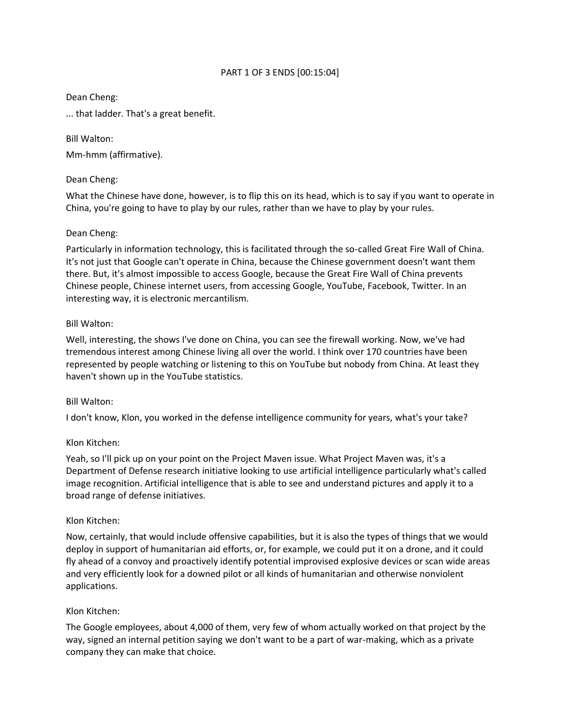# PART 1 OF 3 ENDS [00:15:04]

### Dean Cheng:

... that ladder. That's a great benefit.

Bill Walton:

Mm-hmm (affirmative).

## Dean Cheng:

What the Chinese have done, however, is to flip this on its head, which is to say if you want to operate in China, you're going to have to play by our rules, rather than we have to play by your rules.

## Dean Cheng:

Particularly in information technology, this is facilitated through the so-called Great Fire Wall of China. It's not just that Google can't operate in China, because the Chinese government doesn't want them there. But, it's almost impossible to access Google, because the Great Fire Wall of China prevents Chinese people, Chinese internet users, from accessing Google, YouTube, Facebook, Twitter. In an interesting way, it is electronic mercantilism.

## Bill Walton:

Well, interesting, the shows I've done on China, you can see the firewall working. Now, we've had tremendous interest among Chinese living all over the world. I think over 170 countries have been represented by people watching or listening to this on YouTube but nobody from China. At least they haven't shown up in the YouTube statistics.

## Bill Walton:

I don't know, Klon, you worked in the defense intelligence community for years, what's your take?

## Klon Kitchen:

Yeah, so I'll pick up on your point on the Project Maven issue. What Project Maven was, it's a Department of Defense research initiative looking to use artificial intelligence particularly what's called image recognition. Artificial intelligence that is able to see and understand pictures and apply it to a broad range of defense initiatives.

## Klon Kitchen:

Now, certainly, that would include offensive capabilities, but it is also the types of things that we would deploy in support of humanitarian aid efforts, or, for example, we could put it on a drone, and it could fly ahead of a convoy and proactively identify potential improvised explosive devices or scan wide areas and very efficiently look for a downed pilot or all kinds of humanitarian and otherwise nonviolent applications.

## Klon Kitchen:

The Google employees, about 4,000 of them, very few of whom actually worked on that project by the way, signed an internal petition saying we don't want to be a part of war-making, which as a private company they can make that choice.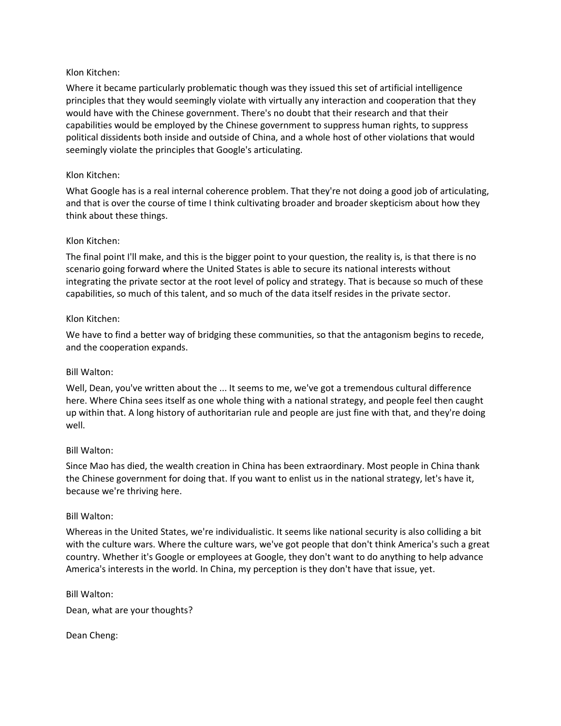## Klon Kitchen:

Where it became particularly problematic though was they issued this set of artificial intelligence principles that they would seemingly violate with virtually any interaction and cooperation that they would have with the Chinese government. There's no doubt that their research and that their capabilities would be employed by the Chinese government to suppress human rights, to suppress political dissidents both inside and outside of China, and a whole host of other violations that would seemingly violate the principles that Google's articulating.

### Klon Kitchen:

What Google has is a real internal coherence problem. That they're not doing a good job of articulating, and that is over the course of time I think cultivating broader and broader skepticism about how they think about these things.

### Klon Kitchen:

The final point I'll make, and this is the bigger point to your question, the reality is, is that there is no scenario going forward where the United States is able to secure its national interests without integrating the private sector at the root level of policy and strategy. That is because so much of these capabilities, so much of this talent, and so much of the data itself resides in the private sector.

### Klon Kitchen:

We have to find a better way of bridging these communities, so that the antagonism begins to recede, and the cooperation expands.

## Bill Walton:

Well, Dean, you've written about the ... It seems to me, we've got a tremendous cultural difference here. Where China sees itself as one whole thing with a national strategy, and people feel then caught up within that. A long history of authoritarian rule and people are just fine with that, and they're doing well.

## Bill Walton:

Since Mao has died, the wealth creation in China has been extraordinary. Most people in China thank the Chinese government for doing that. If you want to enlist us in the national strategy, let's have it, because we're thriving here.

#### Bill Walton:

Whereas in the United States, we're individualistic. It seems like national security is also colliding a bit with the culture wars. Where the culture wars, we've got people that don't think America's such a great country. Whether it's Google or employees at Google, they don't want to do anything to help advance America's interests in the world. In China, my perception is they don't have that issue, yet.

Bill Walton:

Dean, what are your thoughts?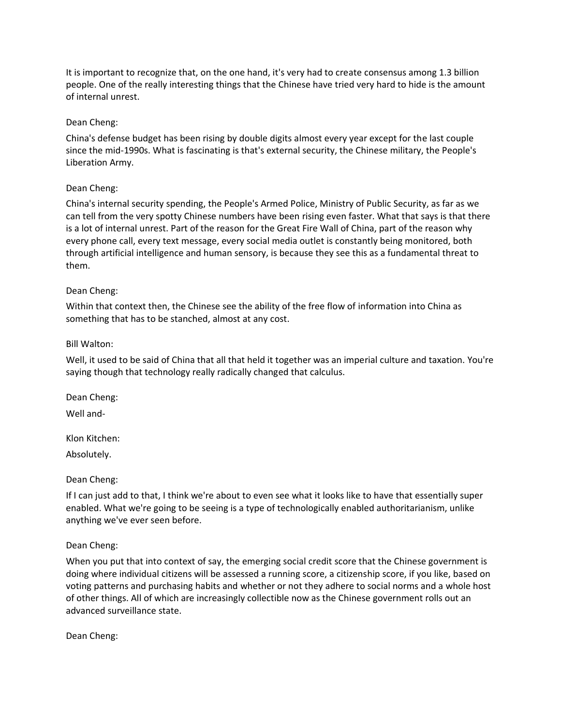It is important to recognize that, on the one hand, it's very had to create consensus among 1.3 billion people. One of the really interesting things that the Chinese have tried very hard to hide is the amount of internal unrest.

## Dean Cheng:

China's defense budget has been rising by double digits almost every year except for the last couple since the mid-1990s. What is fascinating is that's external security, the Chinese military, the People's Liberation Army.

# Dean Cheng:

China's internal security spending, the People's Armed Police, Ministry of Public Security, as far as we can tell from the very spotty Chinese numbers have been rising even faster. What that says is that there is a lot of internal unrest. Part of the reason for the Great Fire Wall of China, part of the reason why every phone call, every text message, every social media outlet is constantly being monitored, both through artificial intelligence and human sensory, is because they see this as a fundamental threat to them.

# Dean Cheng:

Within that context then, the Chinese see the ability of the free flow of information into China as something that has to be stanched, almost at any cost.

## Bill Walton:

Well, it used to be said of China that all that held it together was an imperial culture and taxation. You're saying though that technology really radically changed that calculus.

Dean Cheng: Well and-

Klon Kitchen:

Absolutely.

## Dean Cheng:

If I can just add to that, I think we're about to even see what it looks like to have that essentially super enabled. What we're going to be seeing is a type of technologically enabled authoritarianism, unlike anything we've ever seen before.

## Dean Cheng:

When you put that into context of say, the emerging social credit score that the Chinese government is doing where individual citizens will be assessed a running score, a citizenship score, if you like, based on voting patterns and purchasing habits and whether or not they adhere to social norms and a whole host of other things. All of which are increasingly collectible now as the Chinese government rolls out an advanced surveillance state.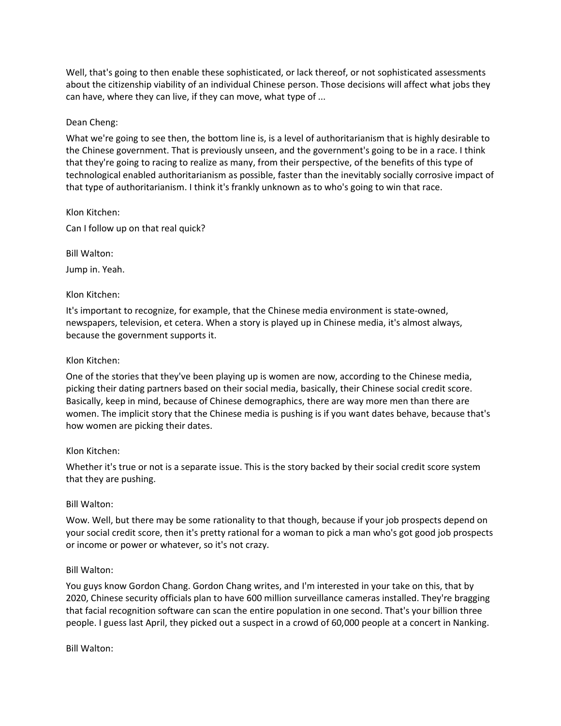Well, that's going to then enable these sophisticated, or lack thereof, or not sophisticated assessments about the citizenship viability of an individual Chinese person. Those decisions will affect what jobs they can have, where they can live, if they can move, what type of ...

### Dean Cheng:

What we're going to see then, the bottom line is, is a level of authoritarianism that is highly desirable to the Chinese government. That is previously unseen, and the government's going to be in a race. I think that they're going to racing to realize as many, from their perspective, of the benefits of this type of technological enabled authoritarianism as possible, faster than the inevitably socially corrosive impact of that type of authoritarianism. I think it's frankly unknown as to who's going to win that race.

Klon Kitchen:

Can I follow up on that real quick?

Bill Walton:

Jump in. Yeah.

### Klon Kitchen:

It's important to recognize, for example, that the Chinese media environment is state-owned, newspapers, television, et cetera. When a story is played up in Chinese media, it's almost always, because the government supports it.

### Klon Kitchen:

One of the stories that they've been playing up is women are now, according to the Chinese media, picking their dating partners based on their social media, basically, their Chinese social credit score. Basically, keep in mind, because of Chinese demographics, there are way more men than there are women. The implicit story that the Chinese media is pushing is if you want dates behave, because that's how women are picking their dates.

#### Klon Kitchen:

Whether it's true or not is a separate issue. This is the story backed by their social credit score system that they are pushing.

#### Bill Walton:

Wow. Well, but there may be some rationality to that though, because if your job prospects depend on your social credit score, then it's pretty rational for a woman to pick a man who's got good job prospects or income or power or whatever, so it's not crazy.

## Bill Walton:

You guys know Gordon Chang. Gordon Chang writes, and I'm interested in your take on this, that by 2020, Chinese security officials plan to have 600 million surveillance cameras installed. They're bragging that facial recognition software can scan the entire population in one second. That's your billion three people. I guess last April, they picked out a suspect in a crowd of 60,000 people at a concert in Nanking.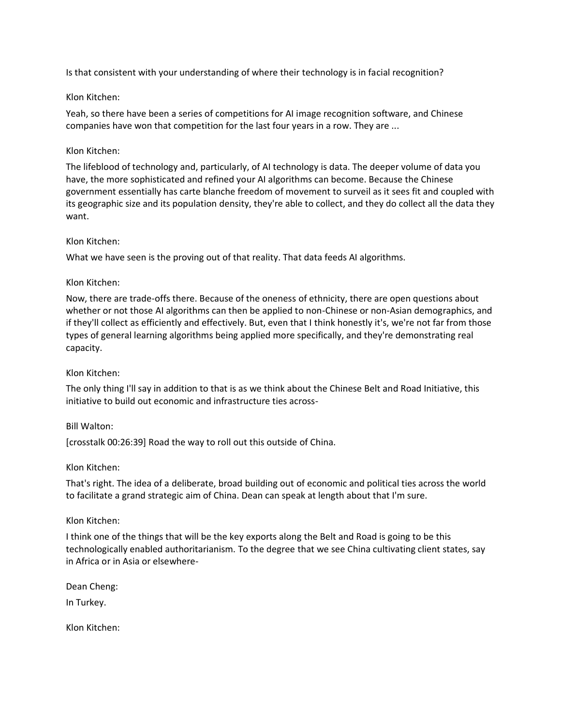Is that consistent with your understanding of where their technology is in facial recognition?

# Klon Kitchen:

Yeah, so there have been a series of competitions for AI image recognition software, and Chinese companies have won that competition for the last four years in a row. They are ...

# Klon Kitchen:

The lifeblood of technology and, particularly, of AI technology is data. The deeper volume of data you have, the more sophisticated and refined your AI algorithms can become. Because the Chinese government essentially has carte blanche freedom of movement to surveil as it sees fit and coupled with its geographic size and its population density, they're able to collect, and they do collect all the data they want.

## Klon Kitchen:

What we have seen is the proving out of that reality. That data feeds AI algorithms.

# Klon Kitchen:

Now, there are trade-offs there. Because of the oneness of ethnicity, there are open questions about whether or not those AI algorithms can then be applied to non-Chinese or non-Asian demographics, and if they'll collect as efficiently and effectively. But, even that I think honestly it's, we're not far from those types of general learning algorithms being applied more specifically, and they're demonstrating real capacity.

# Klon Kitchen:

The only thing I'll say in addition to that is as we think about the Chinese Belt and Road Initiative, this initiative to build out economic and infrastructure ties across-

## Bill Walton:

[crosstalk 00:26:39] Road the way to roll out this outside of China.

## Klon Kitchen:

That's right. The idea of a deliberate, broad building out of economic and political ties across the world to facilitate a grand strategic aim of China. Dean can speak at length about that I'm sure.

## Klon Kitchen:

I think one of the things that will be the key exports along the Belt and Road is going to be this technologically enabled authoritarianism. To the degree that we see China cultivating client states, say in Africa or in Asia or elsewhere-

Dean Cheng:

In Turkey.

Klon Kitchen: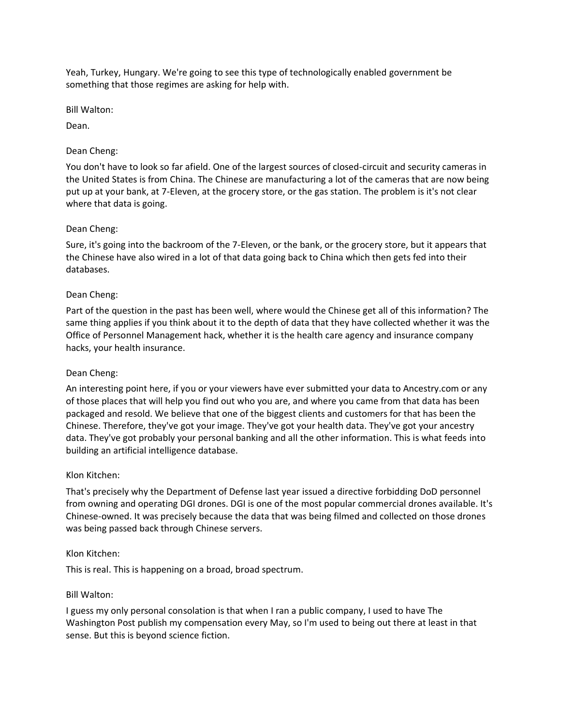Yeah, Turkey, Hungary. We're going to see this type of technologically enabled government be something that those regimes are asking for help with.

Bill Walton:

Dean.

# Dean Cheng:

You don't have to look so far afield. One of the largest sources of closed-circuit and security cameras in the United States is from China. The Chinese are manufacturing a lot of the cameras that are now being put up at your bank, at 7-Eleven, at the grocery store, or the gas station. The problem is it's not clear where that data is going.

# Dean Cheng:

Sure, it's going into the backroom of the 7-Eleven, or the bank, or the grocery store, but it appears that the Chinese have also wired in a lot of that data going back to China which then gets fed into their databases.

# Dean Cheng:

Part of the question in the past has been well, where would the Chinese get all of this information? The same thing applies if you think about it to the depth of data that they have collected whether it was the Office of Personnel Management hack, whether it is the health care agency and insurance company hacks, your health insurance.

## Dean Cheng:

An interesting point here, if you or your viewers have ever submitted your data to Ancestry.com or any of those places that will help you find out who you are, and where you came from that data has been packaged and resold. We believe that one of the biggest clients and customers for that has been the Chinese. Therefore, they've got your image. They've got your health data. They've got your ancestry data. They've got probably your personal banking and all the other information. This is what feeds into building an artificial intelligence database.

## Klon Kitchen:

That's precisely why the Department of Defense last year issued a directive forbidding DoD personnel from owning and operating DGI drones. DGI is one of the most popular commercial drones available. It's Chinese-owned. It was precisely because the data that was being filmed and collected on those drones was being passed back through Chinese servers.

## Klon Kitchen:

This is real. This is happening on a broad, broad spectrum.

## Bill Walton:

I guess my only personal consolation is that when I ran a public company, I used to have The Washington Post publish my compensation every May, so I'm used to being out there at least in that sense. But this is beyond science fiction.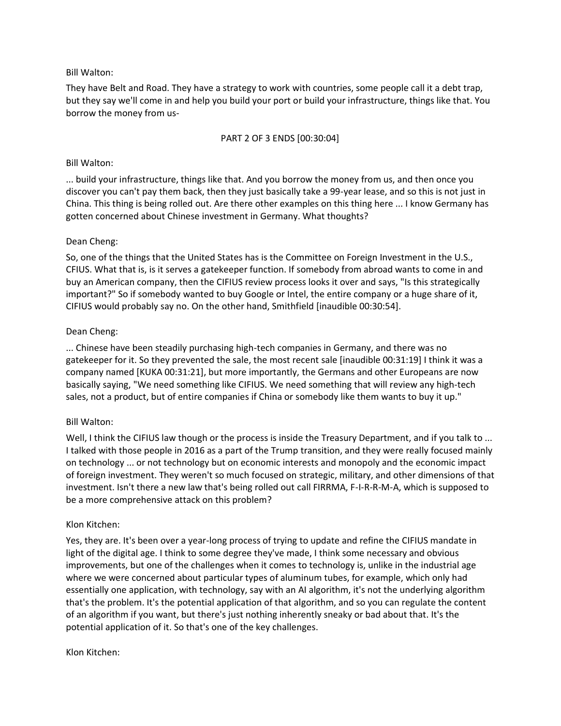## Bill Walton:

They have Belt and Road. They have a strategy to work with countries, some people call it a debt trap, but they say we'll come in and help you build your port or build your infrastructure, things like that. You borrow the money from us-

### PART 2 OF 3 ENDS [00:30:04]

### Bill Walton:

... build your infrastructure, things like that. And you borrow the money from us, and then once you discover you can't pay them back, then they just basically take a 99-year lease, and so this is not just in China. This thing is being rolled out. Are there other examples on this thing here ... I know Germany has gotten concerned about Chinese investment in Germany. What thoughts?

### Dean Cheng:

So, one of the things that the United States has is the Committee on Foreign Investment in the U.S., CFIUS. What that is, is it serves a gatekeeper function. If somebody from abroad wants to come in and buy an American company, then the CIFIUS review process looks it over and says, "Is this strategically important?" So if somebody wanted to buy Google or Intel, the entire company or a huge share of it, CIFIUS would probably say no. On the other hand, Smithfield [inaudible 00:30:54].

### Dean Cheng:

... Chinese have been steadily purchasing high-tech companies in Germany, and there was no gatekeeper for it. So they prevented the sale, the most recent sale [inaudible 00:31:19] I think it was a company named [KUKA 00:31:21], but more importantly, the Germans and other Europeans are now basically saying, "We need something like CIFIUS. We need something that will review any high-tech sales, not a product, but of entire companies if China or somebody like them wants to buy it up."

## Bill Walton:

Well, I think the CIFIUS law though or the process is inside the Treasury Department, and if you talk to ... I talked with those people in 2016 as a part of the Trump transition, and they were really focused mainly on technology ... or not technology but on economic interests and monopoly and the economic impact of foreign investment. They weren't so much focused on strategic, military, and other dimensions of that investment. Isn't there a new law that's being rolled out call FIRRMA, F-I-R-R-M-A, which is supposed to be a more comprehensive attack on this problem?

#### Klon Kitchen:

Yes, they are. It's been over a year-long process of trying to update and refine the CIFIUS mandate in light of the digital age. I think to some degree they've made, I think some necessary and obvious improvements, but one of the challenges when it comes to technology is, unlike in the industrial age where we were concerned about particular types of aluminum tubes, for example, which only had essentially one application, with technology, say with an AI algorithm, it's not the underlying algorithm that's the problem. It's the potential application of that algorithm, and so you can regulate the content of an algorithm if you want, but there's just nothing inherently sneaky or bad about that. It's the potential application of it. So that's one of the key challenges.

#### Klon Kitchen: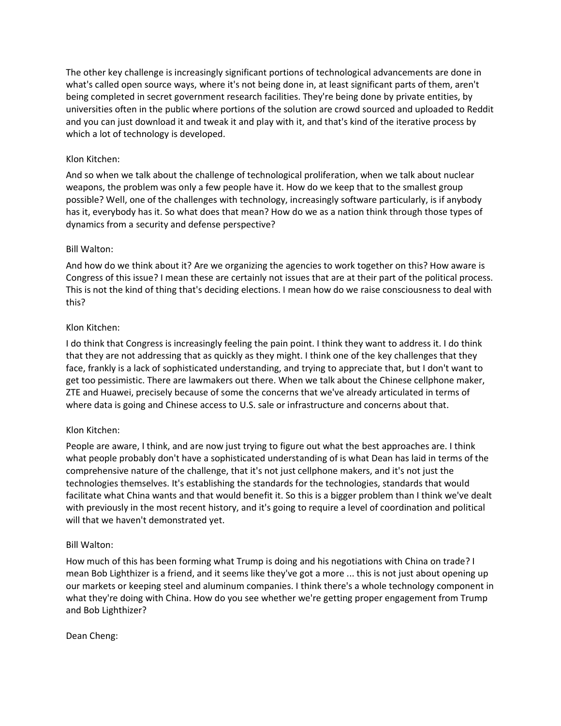The other key challenge is increasingly significant portions of technological advancements are done in what's called open source ways, where it's not being done in, at least significant parts of them, aren't being completed in secret government research facilities. They're being done by private entities, by universities often in the public where portions of the solution are crowd sourced and uploaded to Reddit and you can just download it and tweak it and play with it, and that's kind of the iterative process by which a lot of technology is developed.

# Klon Kitchen:

And so when we talk about the challenge of technological proliferation, when we talk about nuclear weapons, the problem was only a few people have it. How do we keep that to the smallest group possible? Well, one of the challenges with technology, increasingly software particularly, is if anybody has it, everybody has it. So what does that mean? How do we as a nation think through those types of dynamics from a security and defense perspective?

# Bill Walton:

And how do we think about it? Are we organizing the agencies to work together on this? How aware is Congress of this issue? I mean these are certainly not issues that are at their part of the political process. This is not the kind of thing that's deciding elections. I mean how do we raise consciousness to deal with this?

# Klon Kitchen:

I do think that Congress is increasingly feeling the pain point. I think they want to address it. I do think that they are not addressing that as quickly as they might. I think one of the key challenges that they face, frankly is a lack of sophisticated understanding, and trying to appreciate that, but I don't want to get too pessimistic. There are lawmakers out there. When we talk about the Chinese cellphone maker, ZTE and Huawei, precisely because of some the concerns that we've already articulated in terms of where data is going and Chinese access to U.S. sale or infrastructure and concerns about that.

## Klon Kitchen:

People are aware, I think, and are now just trying to figure out what the best approaches are. I think what people probably don't have a sophisticated understanding of is what Dean has laid in terms of the comprehensive nature of the challenge, that it's not just cellphone makers, and it's not just the technologies themselves. It's establishing the standards for the technologies, standards that would facilitate what China wants and that would benefit it. So this is a bigger problem than I think we've dealt with previously in the most recent history, and it's going to require a level of coordination and political will that we haven't demonstrated yet.

## Bill Walton:

How much of this has been forming what Trump is doing and his negotiations with China on trade? I mean Bob Lighthizer is a friend, and it seems like they've got a more ... this is not just about opening up our markets or keeping steel and aluminum companies. I think there's a whole technology component in what they're doing with China. How do you see whether we're getting proper engagement from Trump and Bob Lighthizer?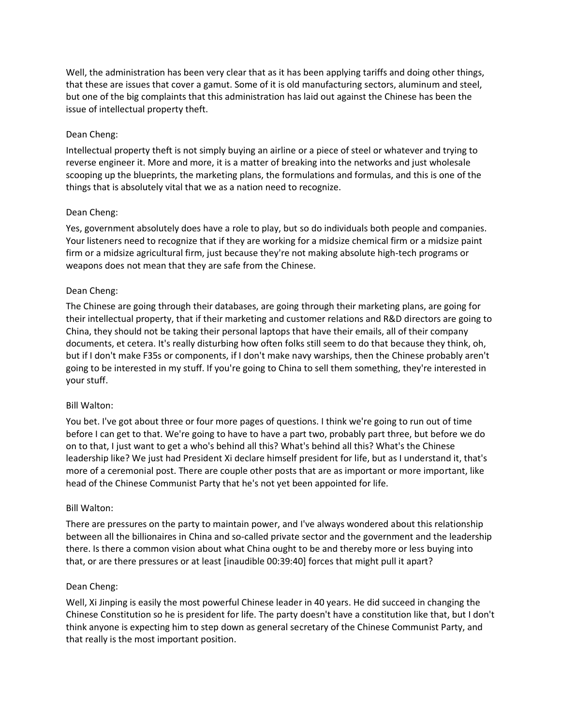Well, the administration has been very clear that as it has been applying tariffs and doing other things, that these are issues that cover a gamut. Some of it is old manufacturing sectors, aluminum and steel, but one of the big complaints that this administration has laid out against the Chinese has been the issue of intellectual property theft.

# Dean Cheng:

Intellectual property theft is not simply buying an airline or a piece of steel or whatever and trying to reverse engineer it. More and more, it is a matter of breaking into the networks and just wholesale scooping up the blueprints, the marketing plans, the formulations and formulas, and this is one of the things that is absolutely vital that we as a nation need to recognize.

## Dean Cheng:

Yes, government absolutely does have a role to play, but so do individuals both people and companies. Your listeners need to recognize that if they are working for a midsize chemical firm or a midsize paint firm or a midsize agricultural firm, just because they're not making absolute high-tech programs or weapons does not mean that they are safe from the Chinese.

# Dean Cheng:

The Chinese are going through their databases, are going through their marketing plans, are going for their intellectual property, that if their marketing and customer relations and R&D directors are going to China, they should not be taking their personal laptops that have their emails, all of their company documents, et cetera. It's really disturbing how often folks still seem to do that because they think, oh, but if I don't make F35s or components, if I don't make navy warships, then the Chinese probably aren't going to be interested in my stuff. If you're going to China to sell them something, they're interested in your stuff.

## Bill Walton:

You bet. I've got about three or four more pages of questions. I think we're going to run out of time before I can get to that. We're going to have to have a part two, probably part three, but before we do on to that, I just want to get a who's behind all this? What's behind all this? What's the Chinese leadership like? We just had President Xi declare himself president for life, but as I understand it, that's more of a ceremonial post. There are couple other posts that are as important or more important, like head of the Chinese Communist Party that he's not yet been appointed for life.

## Bill Walton:

There are pressures on the party to maintain power, and I've always wondered about this relationship between all the billionaires in China and so-called private sector and the government and the leadership there. Is there a common vision about what China ought to be and thereby more or less buying into that, or are there pressures or at least [inaudible 00:39:40] forces that might pull it apart?

## Dean Cheng:

Well, Xi Jinping is easily the most powerful Chinese leader in 40 years. He did succeed in changing the Chinese Constitution so he is president for life. The party doesn't have a constitution like that, but I don't think anyone is expecting him to step down as general secretary of the Chinese Communist Party, and that really is the most important position.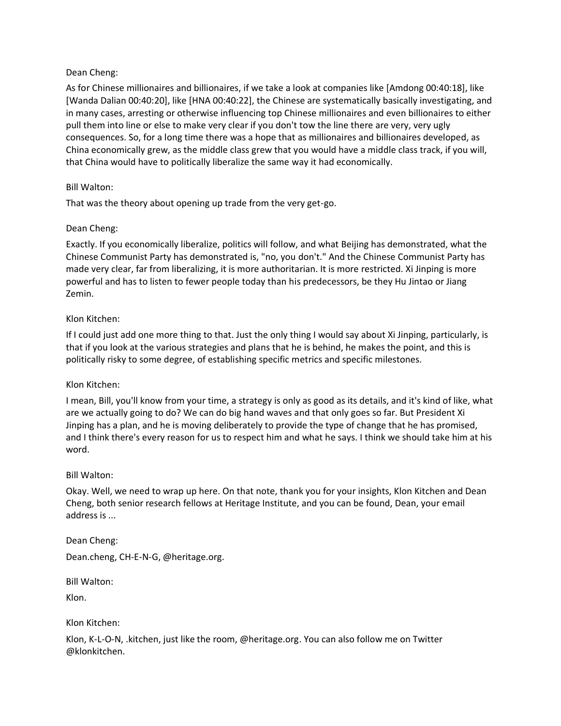## Dean Cheng:

As for Chinese millionaires and billionaires, if we take a look at companies like [Amdong 00:40:18], like [Wanda Dalian 00:40:20], like [HNA 00:40:22], the Chinese are systematically basically investigating, and in many cases, arresting or otherwise influencing top Chinese millionaires and even billionaires to either pull them into line or else to make very clear if you don't tow the line there are very, very ugly consequences. So, for a long time there was a hope that as millionaires and billionaires developed, as China economically grew, as the middle class grew that you would have a middle class track, if you will, that China would have to politically liberalize the same way it had economically.

## Bill Walton:

That was the theory about opening up trade from the very get-go.

# Dean Cheng:

Exactly. If you economically liberalize, politics will follow, and what Beijing has demonstrated, what the Chinese Communist Party has demonstrated is, "no, you don't." And the Chinese Communist Party has made very clear, far from liberalizing, it is more authoritarian. It is more restricted. Xi Jinping is more powerful and has to listen to fewer people today than his predecessors, be they Hu Jintao or Jiang Zemin.

## Klon Kitchen:

If I could just add one more thing to that. Just the only thing I would say about Xi Jinping, particularly, is that if you look at the various strategies and plans that he is behind, he makes the point, and this is politically risky to some degree, of establishing specific metrics and specific milestones.

## Klon Kitchen:

I mean, Bill, you'll know from your time, a strategy is only as good as its details, and it's kind of like, what are we actually going to do? We can do big hand waves and that only goes so far. But President Xi Jinping has a plan, and he is moving deliberately to provide the type of change that he has promised, and I think there's every reason for us to respect him and what he says. I think we should take him at his word.

## Bill Walton:

Okay. Well, we need to wrap up here. On that note, thank you for your insights, Klon Kitchen and Dean Cheng, both senior research fellows at Heritage Institute, and you can be found, Dean, your email address is ...

## Dean Cheng:

Dean.cheng, CH-E-N-G, @heritage.org.

Bill Walton:

Klon.

Klon Kitchen:

Klon, K-L-O-N, .kitchen, just like the room, @heritage.org. You can also follow me on Twitter @klonkitchen.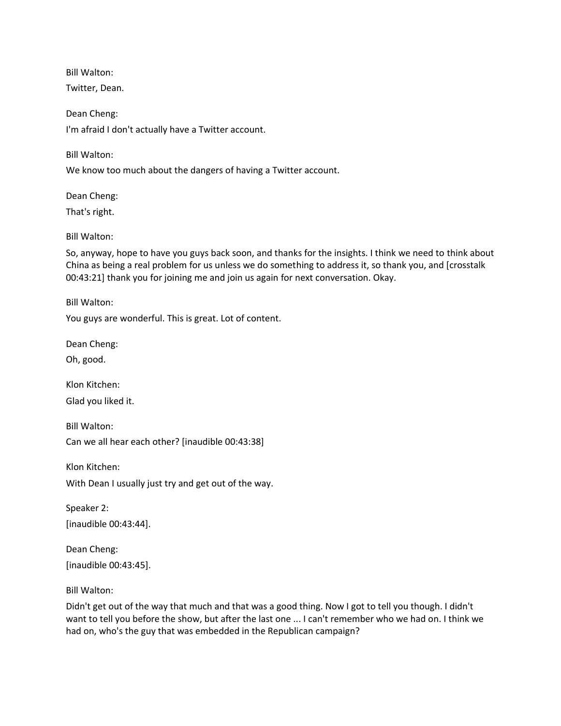Bill Walton:

Twitter, Dean.

Dean Cheng: I'm afraid I don't actually have a Twitter account.

Bill Walton:

We know too much about the dangers of having a Twitter account.

Dean Cheng:

That's right.

Bill Walton:

So, anyway, hope to have you guys back soon, and thanks for the insights. I think we need to think about China as being a real problem for us unless we do something to address it, so thank you, and [crosstalk 00:43:21] thank you for joining me and join us again for next conversation. Okay.

Bill Walton:

You guys are wonderful. This is great. Lot of content.

Dean Cheng:

Oh, good.

Klon Kitchen:

Glad you liked it.

Bill Walton: Can we all hear each other? [inaudible 00:43:38]

Klon Kitchen:

With Dean I usually just try and get out of the way.

Speaker 2: [inaudible 00:43:44].

Dean Cheng: [inaudible 00:43:45].

Bill Walton:

Didn't get out of the way that much and that was a good thing. Now I got to tell you though. I didn't want to tell you before the show, but after the last one ... I can't remember who we had on. I think we had on, who's the guy that was embedded in the Republican campaign?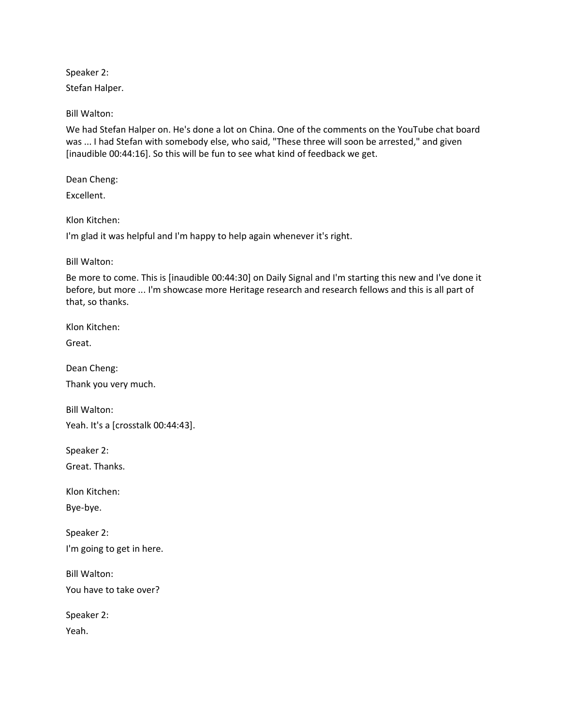Speaker 2:

Stefan Halper.

Bill Walton:

We had Stefan Halper on. He's done a lot on China. One of the comments on the YouTube chat board was ... I had Stefan with somebody else, who said, "These three will soon be arrested," and given [inaudible 00:44:16]. So this will be fun to see what kind of feedback we get.

Dean Cheng:

Excellent.

Klon Kitchen:

I'm glad it was helpful and I'm happy to help again whenever it's right.

Bill Walton:

Be more to come. This is [inaudible 00:44:30] on Daily Signal and I'm starting this new and I've done it before, but more ... I'm showcase more Heritage research and research fellows and this is all part of that, so thanks.

Klon Kitchen:

Great.

Dean Cheng: Thank you very much.

Bill Walton: Yeah. It's a [crosstalk 00:44:43].

Speaker 2:

Great. Thanks.

Klon Kitchen:

Bye-bye.

Speaker 2: I'm going to get in here.

Bill Walton: You have to take over?

Speaker 2: Yeah.